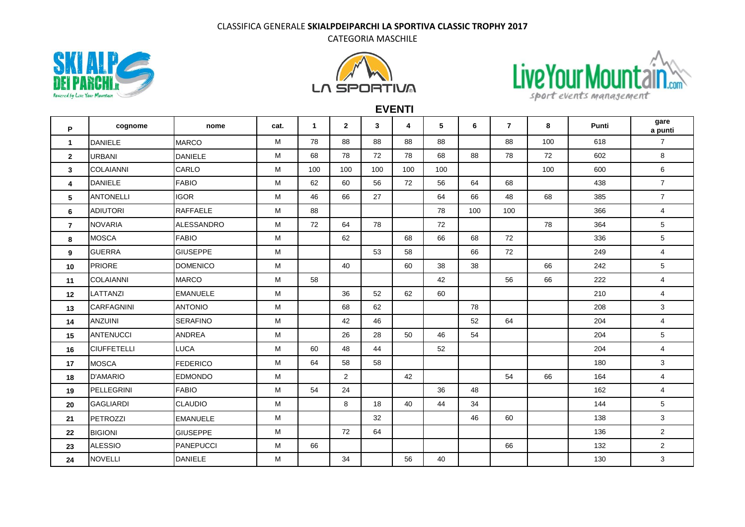## CLASSIFICA GENERALE **SKIALPDEIPARCHI LA SPORTIVA CLASSIC TROPHY 2017**

CATEGORIA MASCHILE







**EVENTI**

| P              | cognome            | nome             | cat. | $\mathbf{1}$ | $\overline{2}$ | 3   | 4   | 5   | 6   | $\overline{7}$ | 8   | Punti | gare<br>a punti |
|----------------|--------------------|------------------|------|--------------|----------------|-----|-----|-----|-----|----------------|-----|-------|-----------------|
| $\mathbf{1}$   | <b>DANIELE</b>     | <b>MARCO</b>     | M    | 78           | 88             | 88  | 88  | 88  |     | 88             | 100 | 618   | $\overline{7}$  |
| $\mathbf{2}$   | <b>URBANI</b>      | <b>DANIELE</b>   | M    | 68           | 78             | 72  | 78  | 68  | 88  | 78             | 72  | 602   | 8               |
| 3              | <b>COLAIANNI</b>   | CARLO            | M    | 100          | 100            | 100 | 100 | 100 |     |                | 100 | 600   | 6               |
| 4              | <b>DANIELE</b>     | <b>FABIO</b>     | M    | 62           | 60             | 56  | 72  | 56  | 64  | 68             |     | 438   | $\overline{7}$  |
| 5              | <b>ANTONELLI</b>   | <b>IGOR</b>      | M    | 46           | 66             | 27  |     | 64  | 66  | 48             | 68  | 385   | $\overline{7}$  |
| 6              | <b>ADIUTORI</b>    | <b>RAFFAELE</b>  | M    | 88           |                |     |     | 78  | 100 | 100            |     | 366   | $\overline{4}$  |
| $\overline{7}$ | <b>NOVARIA</b>     | ALESSANDRO       | M    | 72           | 64             | 78  |     | 72  |     |                | 78  | 364   | $5\phantom{.0}$ |
| 8              | <b>MOSCA</b>       | <b>FABIO</b>     | M    |              | 62             |     | 68  | 66  | 68  | 72             |     | 336   | 5               |
| 9              | <b>GUERRA</b>      | <b>GIUSEPPE</b>  | M    |              |                | 53  | 58  |     | 66  | 72             |     | 249   | $\overline{4}$  |
| 10             | <b>PRIORE</b>      | <b>DOMENICO</b>  | M    |              | 40             |     | 60  | 38  | 38  |                | 66  | 242   | 5               |
| 11             | <b>COLAIANNI</b>   | <b>MARCO</b>     | M    | 58           |                |     |     | 42  |     | 56             | 66  | 222   | $\overline{4}$  |
| 12             | LATTANZI           | <b>EMANUELE</b>  | M    |              | 36             | 52  | 62  | 60  |     |                |     | 210   | $\overline{4}$  |
| 13             | <b>CARFAGNINI</b>  | <b>ANTONIO</b>   | М    |              | 68             | 62  |     |     | 78  |                |     | 208   | 3               |
| 14             | <b>ANZUINI</b>     | <b>SERAFINO</b>  | М    |              | 42             | 46  |     |     | 52  | 64             |     | 204   | $\overline{4}$  |
| 15             | <b>ANTENUCCI</b>   | ANDREA           | M    |              | 26             | 28  | 50  | 46  | 54  |                |     | 204   | 5               |
| 16             | <b>CIUFFETELLI</b> | LUCA             | M    | 60           | 48             | 44  |     | 52  |     |                |     | 204   | $\overline{4}$  |
| 17             | <b>MOSCA</b>       | <b>FEDERICO</b>  | M    | 64           | 58             | 58  |     |     |     |                |     | 180   | $\mathbf{3}$    |
| 18             | <b>D'AMARIO</b>    | <b>EDMONDO</b>   | M    |              | 2              |     | 42  |     |     | 54             | 66  | 164   | 4               |
| 19             | PELLEGRINI         | <b>FABIO</b>     | M    | 54           | 24             |     |     | 36  | 48  |                |     | 162   | $\overline{4}$  |
| 20             | <b>GAGLIARDI</b>   | <b>CLAUDIO</b>   | M    |              | 8              | 18  | 40  | 44  | 34  |                |     | 144   | 5               |
| 21             | PETROZZI           | <b>EMANUELE</b>  | M    |              |                | 32  |     |     | 46  | 60             |     | 138   | 3               |
| 22             | <b>BIGIONI</b>     | <b>GIUSEPPE</b>  | M    |              | 72             | 64  |     |     |     |                |     | 136   | $\overline{2}$  |
| 23             | <b>ALESSIO</b>     | <b>PANEPUCCI</b> | M    | 66           |                |     |     |     |     | 66             |     | 132   | $\overline{2}$  |
| 24             | <b>NOVELLI</b>     | <b>DANIELE</b>   | M    |              | 34             |     | 56  | 40  |     |                |     | 130   | $\mathbf{3}$    |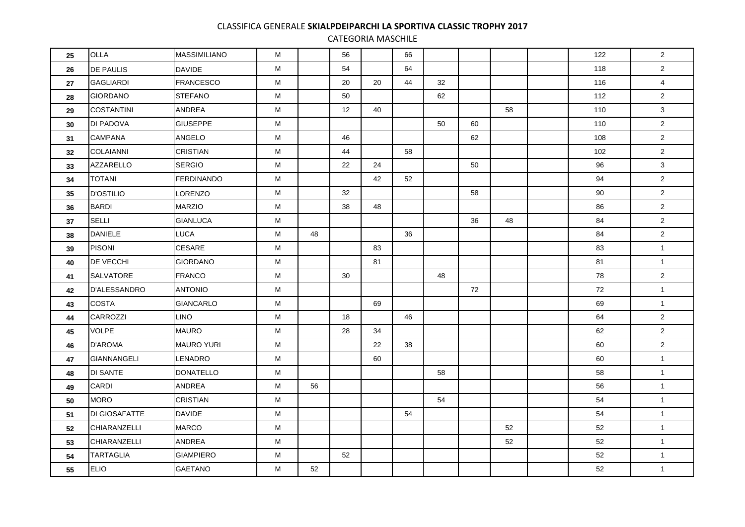## CLASSIFICA GENERALE **SKIALPDEIPARCHI LA SPORTIVA CLASSIC TROPHY 2017**

CATEGORIA MASCHILE

| 25         | <b>OLLA</b>          | <b>MASSIMILIANO</b> | M |    | 56 |    | 66 |    |    |    | 122 | $\overline{2}$ |
|------------|----------------------|---------------------|---|----|----|----|----|----|----|----|-----|----------------|
| 26         | <b>DE PAULIS</b>     | <b>DAVIDE</b>       | M |    | 54 |    | 64 |    |    |    | 118 | $\overline{2}$ |
| ${\bf 27}$ | <b>GAGLIARDI</b>     | <b>FRANCESCO</b>    | M |    | 20 | 20 | 44 | 32 |    |    | 116 | $\overline{4}$ |
| 28         | <b>GIORDANO</b>      | <b>STEFANO</b>      | M |    | 50 |    |    | 62 |    |    | 112 | $\overline{2}$ |
| 29         | <b>COSTANTINI</b>    | ANDREA              | м |    | 12 | 40 |    |    |    | 58 | 110 | $\mathbf{3}$   |
| $30\,$     | DI PADOVA            | <b>GIUSEPPE</b>     | М |    |    |    |    | 50 | 60 |    | 110 | $\overline{2}$ |
| 31         | <b>CAMPANA</b>       | ANGELO              | M |    | 46 |    |    |    | 62 |    | 108 | $\overline{2}$ |
| 32         | <b>COLAIANNI</b>     | <b>CRISTIAN</b>     | м |    | 44 |    | 58 |    |    |    | 102 | $\overline{2}$ |
| 33         | <b>AZZARELLO</b>     | <b>SERGIO</b>       | M |    | 22 | 24 |    |    | 50 |    | 96  | $\mathbf{3}$   |
| 34         | <b>TOTANI</b>        | <b>FERDINANDO</b>   | M |    |    | 42 | 52 |    |    |    | 94  | $\overline{2}$ |
| 35         | <b>D'OSTILIO</b>     | LORENZO             | М |    | 32 |    |    |    | 58 |    | 90  | $\overline{2}$ |
| 36         | <b>BARDI</b>         | <b>MARZIO</b>       | M |    | 38 | 48 |    |    |    |    | 86  | $\overline{2}$ |
| 37         | SELLI                | <b>GIANLUCA</b>     | м |    |    |    |    |    | 36 | 48 | 84  | $\overline{2}$ |
| 38         | <b>DANIELE</b>       | <b>LUCA</b>         | M | 48 |    |    | 36 |    |    |    | 84  | $2^{\circ}$    |
| 39         | <b>PISONI</b>        | <b>CESARE</b>       | M |    |    | 83 |    |    |    |    | 83  | $\mathbf{1}$   |
| 40         | DE VECCHI            | <b>GIORDANO</b>     | M |    |    | 81 |    |    |    |    | 81  | $\mathbf{1}$   |
| 41         | <b>SALVATORE</b>     | <b>FRANCO</b>       | м |    | 30 |    |    | 48 |    |    | 78  | $\overline{2}$ |
| 42         | <b>D'ALESSANDRO</b>  | <b>ANTONIO</b>      | м |    |    |    |    |    | 72 |    | 72  | $\mathbf{1}$   |
| 43         | <b>COSTA</b>         | <b>GIANCARLO</b>    | M |    |    | 69 |    |    |    |    | 69  | $\mathbf{1}$   |
| 44         | <b>CARROZZI</b>      | <b>LINO</b>         | M |    | 18 |    | 46 |    |    |    | 64  | $\overline{2}$ |
| 45         | <b>VOLPE</b>         | <b>MAURO</b>        | M |    | 28 | 34 |    |    |    |    | 62  | $\overline{2}$ |
| 46         | <b>D'AROMA</b>       | <b>MAURO YURI</b>   | м |    |    | 22 | 38 |    |    |    | 60  | $\overline{2}$ |
| 47         | <b>GIANNANGELI</b>   | <b>LENADRO</b>      | м |    |    | 60 |    |    |    |    | 60  | $\mathbf{1}$   |
| 48         | <b>DI SANTE</b>      | <b>DONATELLO</b>    | M |    |    |    |    | 58 |    |    | 58  | $\mathbf{1}$   |
| 49         | <b>CARDI</b>         | <b>ANDREA</b>       | M | 56 |    |    |    |    |    |    | 56  | $\mathbf{1}$   |
| 50         | <b>MORO</b>          | <b>CRISTIAN</b>     | М |    |    |    |    | 54 |    |    | 54  | $\mathbf{1}$   |
| 51         | <b>DI GIOSAFATTE</b> | <b>DAVIDE</b>       | м |    |    |    | 54 |    |    |    | 54  | $\mathbf{1}$   |
| 52         | CHIARANZELLI         | <b>MARCO</b>        | М |    |    |    |    |    |    | 52 | 52  | $\mathbf{1}$   |
| 53         | CHIARANZELLI         | ANDREA              | M |    |    |    |    |    |    | 52 | 52  | $\mathbf{1}$   |
| 54         | <b>TARTAGLIA</b>     | <b>GIAMPIERO</b>    | М |    | 52 |    |    |    |    |    | 52  | $\mathbf{1}$   |
| 55         | <b>ELIO</b>          | <b>GAETANO</b>      | м | 52 |    |    |    |    |    |    | 52  | $\mathbf{1}$   |